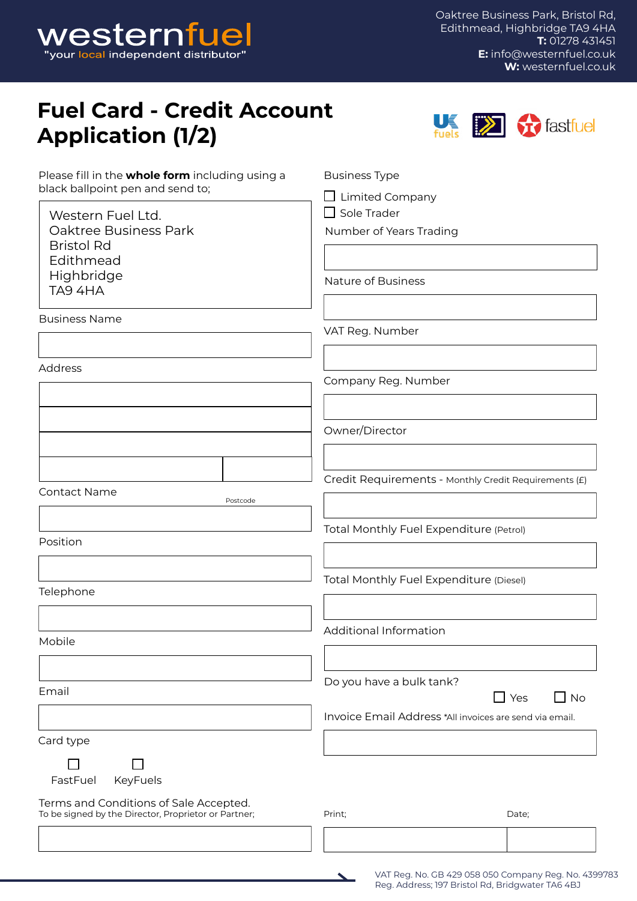

Oaktree Business Park, Bristol Rd, Edithmead, Highbridge TA9 4HA **T:** 01278 431451 **E:** [info@westernfuel.co.uk](mailto:info%40westernfuel.co.uk%20?subject=Fuel%20Card%20Enquiry%20) **W:** [westernfuel.co.uk](http://westernfuel.co.uk)

## **Fuel Card - Credit Account Application (1/2)**



| Please fill in the whole form including using a<br>black ballpoint pen and send to;            | <b>Business Type</b><br>$\Box$ Limited Company<br>$\Box$ Sole Trader<br>Number of Years Trading |  |  |  |  |  |  |
|------------------------------------------------------------------------------------------------|-------------------------------------------------------------------------------------------------|--|--|--|--|--|--|
| Western Fuel Ltd.<br>Oaktree Business Park<br><b>Bristol Rd</b><br>Edithmead                   |                                                                                                 |  |  |  |  |  |  |
| Highbridge<br>TA9 4HA                                                                          | Nature of Business                                                                              |  |  |  |  |  |  |
| <b>Business Name</b>                                                                           | VAT Reg. Number                                                                                 |  |  |  |  |  |  |
| Address                                                                                        | Company Reg. Number                                                                             |  |  |  |  |  |  |
|                                                                                                | Owner/Director                                                                                  |  |  |  |  |  |  |
| <b>Contact Name</b>                                                                            | Credit Requirements - Monthly Credit Requirements (£)                                           |  |  |  |  |  |  |
| Postcode                                                                                       |                                                                                                 |  |  |  |  |  |  |
| Position                                                                                       | Total Monthly Fuel Expenditure (Petrol)                                                         |  |  |  |  |  |  |
| Telephone                                                                                      | Total Monthly Fuel Expenditure (Diesel)                                                         |  |  |  |  |  |  |
| Mobile                                                                                         | Additional Information                                                                          |  |  |  |  |  |  |
| Email                                                                                          | Do you have a bulk tank?<br>$\square$ Yes<br>$\Box$ No                                          |  |  |  |  |  |  |
|                                                                                                | Invoice Email Address *All invoices are send via email.                                         |  |  |  |  |  |  |
| Card type                                                                                      |                                                                                                 |  |  |  |  |  |  |
| KeyFuels<br>FastFuel                                                                           |                                                                                                 |  |  |  |  |  |  |
| Terms and Conditions of Sale Accepted.<br>To be signed by the Director, Proprietor or Partner; | Print;<br>Date;                                                                                 |  |  |  |  |  |  |
|                                                                                                |                                                                                                 |  |  |  |  |  |  |



VAT Reg. No. GB 429 058 050 Company Reg. No. 4399783 Reg. Address; 197 Bristol Rd, Bridgwater TA6 4BJ